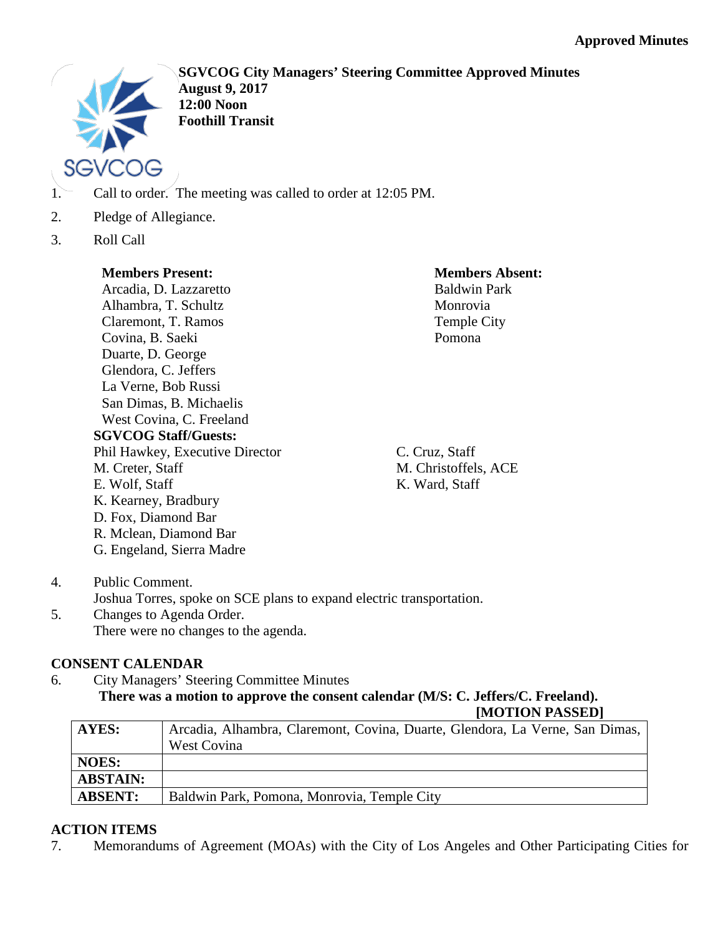

**SGVCOG City Managers' Steering Committee Approved Minutes August 9, 2017 12:00 Noon Foothill Transit**

- 1. Call to order. The meeting was called to order at 12:05 PM.
- 2. Pledge of Allegiance.
- 3. Roll Call

# **Members Present:**

Arcadia, D. Lazzaretto Alhambra, T. Schultz Claremont, T. Ramos Covina, B. Saeki Duarte, D. George Glendora, C. Jeffers La Verne, Bob Russi San Dimas, B. Michaelis West Covina, C. Freeland **SGVCOG Staff/Guests:** Phil Hawkey, Executive Director M. Creter, Staff E. Wolf, Staff K. Kearney, Bradbury D. Fox, Diamond Bar R. Mclean, Diamond Bar G. Engeland, Sierra Madre

**Members Absent:** Baldwin Park Monrovia Temple City Pomona

C. Cruz, Staff M. Christoffels, ACE K. Ward, Staff

- 4. Public Comment. Joshua Torres, spoke on SCE plans to expand electric transportation.
- 5. Changes to Agenda Order. There were no changes to the agenda.

# **CONSENT CALENDAR**

6. City Managers' Steering Committee Minutes **There was a motion to approve the consent calendar (M/S: C. Jeffers/C. Freeland). [MOTION PASSED]**

| <b>AYES:</b>    | Arcadia, Alhambra, Claremont, Covina, Duarte, Glendora, La Verne, San Dimas, |
|-----------------|------------------------------------------------------------------------------|
|                 | West Covina                                                                  |
| <b>NOES:</b>    |                                                                              |
| <b>ABSTAIN:</b> |                                                                              |
| <b>ABSENT:</b>  | Baldwin Park, Pomona, Monrovia, Temple City                                  |

# **ACTION ITEMS**

7. Memorandums of Agreement (MOAs) with the City of Los Angeles and Other Participating Cities for